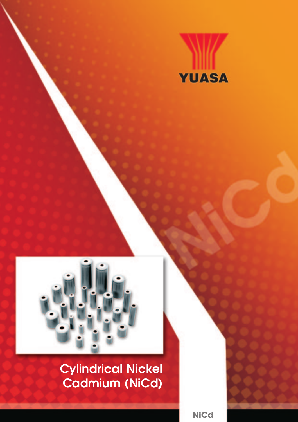



# Cylindrical Nickel Cadmium (NiCd)

**NiCd**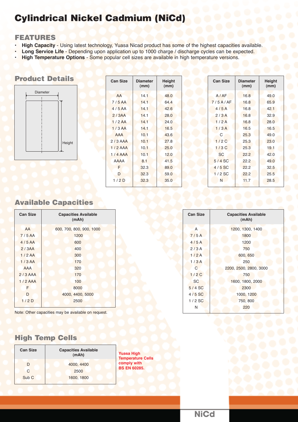# Cylindrical Nickel Cadmium (NiCd)

#### FEATURES

- **High Capacity**  Using latest technology, Yuasa Nicad product has some of the highest capacities available.
- **Long Service Life** Depending upon application up to 1000 charge / discharge cycles can be expected.
- **High Temperature Options** Some popular cell sizes are available in high temperature versions.

#### **Product Details**



| <b>Can Size</b>  | <b>Diameter</b><br>(mm) | Height<br>(mm) | <b>Can Size</b> | <b>Diameter</b><br>(mm) | Height<br>(mm) |
|------------------|-------------------------|----------------|-----------------|-------------------------|----------------|
| AA               | 14.1                    | 48.0           | A/AF            | 16.8                    | 49.0           |
| 7/5AA            | 14.1                    | 64.4           | 7/5A/AF         | 16.8                    | 65.9           |
| 4/5AA            | 14.1                    | 42.6           | 4/5A            | 16.8                    | 42.1           |
| 2/3AA            | 14.1                    | 28.0           | 2/3A            | 16.8                    | 32.9           |
| 1/2AA            | 14.1                    | 24.0           | 1/2A            | 16.8                    | 28.0           |
| 1/3AA            | 14.1                    | 16.5           | 1/3A            | 16.5                    | 16.5           |
| <b>AAA</b>       | 10.1                    | 43.6           | С               | 25.3                    | 49.0           |
| $2/3$ AAA        | 10.1                    | 27.8           | 1/2C            | 25.3                    | 23.0           |
| $1/2$ AAA        | 10.1                    | 25.0           | 1/3C            | 25.3                    | 19.1           |
| 1/4AAA           | 10.1                    | 12.0           | <b>SC</b>       | 22.2                    | 42.0           |
| <b>AAAA</b>      | 8.1                     | 41.5           | $5/4$ SC        | 22.2                    | 49.0           |
| F                | 32.3                    | 89.0           | $4/5$ SC        | 22.2                    | 32.5           |
| D                | 32.3                    | 59.0           | $1/2$ SC        | 22.2                    | 25.5           |
| 1/2 <sub>D</sub> | 32.3                    | 35.0           | N               | 11.7                    | 28.5           |
|                  |                         |                |                 |                         |                |

# Available Capacities

| <b>Can Size</b> | <b>Capacities Available</b><br>(mAh) |  |  |
|-----------------|--------------------------------------|--|--|
| AA              | 600, 700, 800, 900, 1000             |  |  |
| 7/5AA           | 1200                                 |  |  |
| 4/5AA           | 600                                  |  |  |
| 2/3AA           | 400                                  |  |  |
| 1/2AA           | 300                                  |  |  |
| 1/3AA           | 170                                  |  |  |
| <b>AAA</b>      | 320                                  |  |  |
| $2/3$ AAA       | 170                                  |  |  |
| $1/2$ AAA       | 100                                  |  |  |
| F               | 8000                                 |  |  |
| D               | 4000, 4400, 5000                     |  |  |
| 1/2D            | 2500                                 |  |  |
|                 |                                      |  |  |

Note: Other capacities may be available on request.

#### **Can Size Capacities Available (mAh)** A 1200, 1300, 1400 7/5 A 1800 4/5 A 1200 2 / 3 A 750 1/2 A 600, 650 1/3 A 250 C 2200, 2500, 2800, 3000 1 / 2 C 750 SC 1600, 1800, 2000 5 / 4 SC 2300 4 / 5 SC 1000, 1200 1 / 2 SC 750, 800 N 220

# High Temp Cells

| <b>Can Size</b>  | <b>Capacities Available</b><br>(mAh) |        |
|------------------|--------------------------------------|--------|
|                  | 4000, 4400                           | ٦<br>c |
| C                | 2500                                 | F      |
| Sub <sub>C</sub> | 1600, 1800                           |        |
|                  |                                      |        |

**Yuasa High Temperature Cells comply with BS EN 60285.**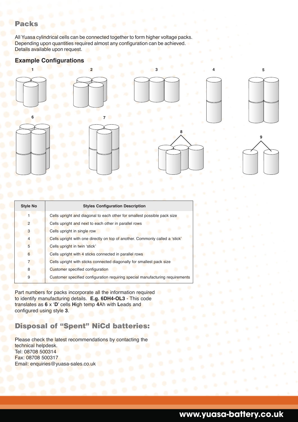#### Packs

All Yuasa cylindrical cells can be connected together to form higher voltage packs. Depending upon quantities required almost any configuration can be achieved. Details available upon request.

#### **Example Configurations**



| <b>Style No</b> | <b>Styles Configuration Description</b>                                       |
|-----------------|-------------------------------------------------------------------------------|
|                 | Cells upright and diagonal to each other for smallest possible pack size      |
| $\mathcal{P}$   | Cells upright and next to each other in parallel rows                         |
| 3               | Cells upright in single row                                                   |
| 4               | Cells upright with one directly on top of another. Commonly called a 'stick'  |
| 5               | Cells upright in twin 'stick'                                                 |
| 6               | Cells upright with 4 sticks connected in parallel rows                        |
|                 | Cells upright with sticks connected diagonally for smallest pack size         |
| 8               | Customer specified configuration                                              |
| 9               | Customer specified configuration requiring special manufacturing requirements |
|                 |                                                                               |

Part numbers for packs incorporate all the information required to identify manufacturing details. **E.g. 6DH4-OL3** - This code translates as **6** x '**D**' cells **H**igh temp **4**Ah with **L**eads and configured using style **3**.

### Disposal of "Spent" NiCd batteries:

Please check the latest recommendations by contacting the technical helpdesk. Tel: 08708 500314 Fax: 08708 500317 Email: enquiries@yuasa-sales.co.uk